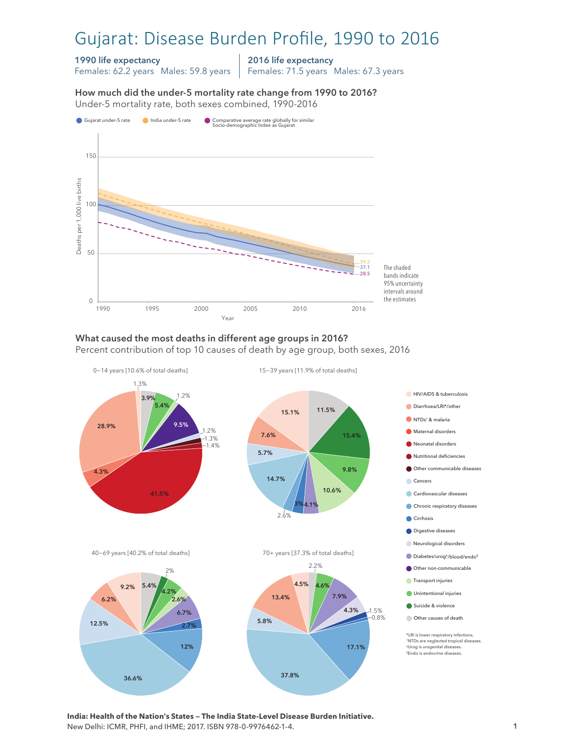# Gujarat: Disease Burden Profile, 1990 to 2016

### 1990 life expectancy

Females: 62.2 years Males: 59.8 years

2016 life expectancy

Females: 71.5 years Males: 67.3 years

How much did the under-5 mortality rate change from 1990 to 2016?





# What caused the most deaths in different age groups in 2016?

Percent contribution of top 10 causes of death by age group, both sexes, 2016



**India: Health of the Nation's States — The India State-Level Disease Burden Initiative.**  New Delhi: ICMR, PHFI, and IHME; 2017. ISBN 978-0-9976462-1-4.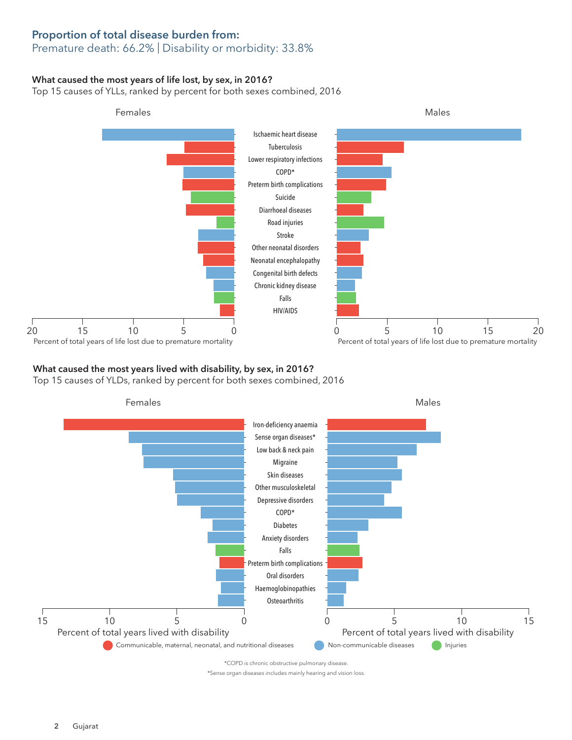# Proportion of total disease burden from:

## Premature death: 66.2% | Disability or morbidity: 33.8%

#### What caused the most years of life lost, by sex, in 2016?

Top 15 causes of YLLs, ranked by percent for both sexes combined, 2016



### What caused the most years lived with disability, by sex, in 2016?

Top 15 causes of YLDs, ranked by percent for both sexes combined, 2016



\*Sense organ diseases includes mainly hearing and vision loss.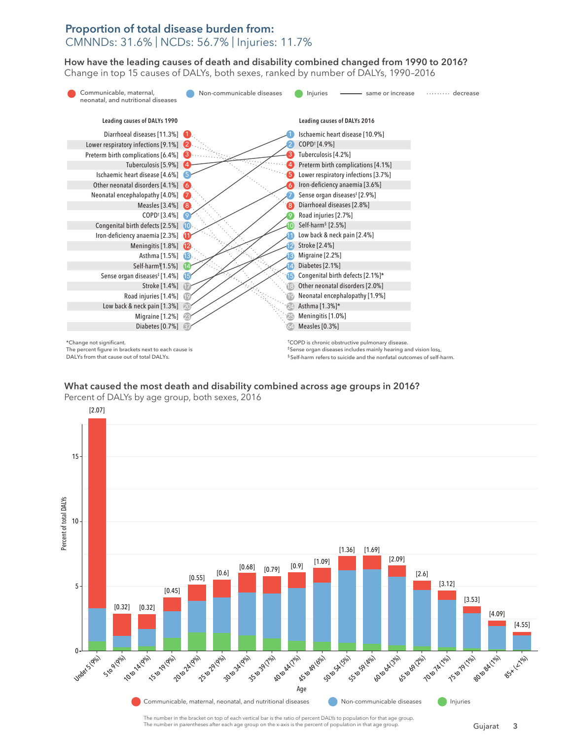# Proportion of total disease burden from: CMNNDs: 31.6% | NCDs: 56.7% | Injuries: 11.7%

How have the leading causes of death and disability combined changed from 1990 to 2016? How have the leading causes of death and disability combined changed from 1990 to 2016? Change in top 15 causes of DALYs, both sexes, ranked by number of DALYs, 1990–2016 Change in top 15 causes of DALYs, both sexes, ranked by number of DALYs, 1990–2016



What caused the most death and disability combined across age groups in 2016? What caused the most death and disability combined across age groups in 2016?



The number in the bracket on top of each vertical bar is the ratio of percent DALYs to population for that age group. The number in parentheses after each age group on the x-axis is the percent of population in that age group.